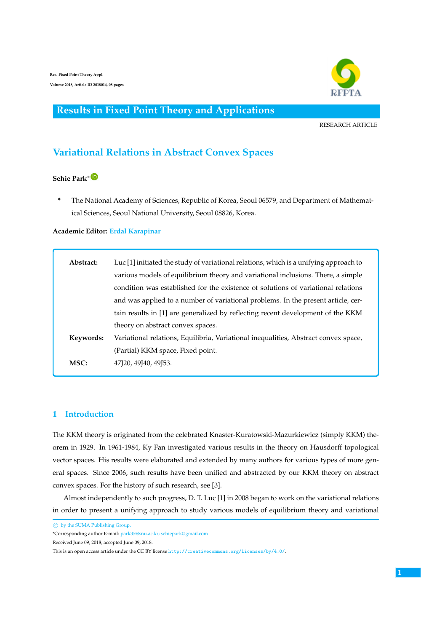

## **Results in Fixed Point Theory and Applications**

RESEARCH ARTICLE

# **Variational Relations in Abstract Convex Spaces**

## **Sehie Park**[∗](https://orcid.org/0000-0001-7140-1547)

**\*** The National Academy of Sciences, Republic of Korea, Seoul 06579, and Department of Mathematical Sciences, Seoul National University, Seoul 08826, Korea.

#### **Academic Editor: Erdal Karapinar**

| Abstract: | Luc [1] initiated the study of variational relations, which is a unifying approach to |
|-----------|---------------------------------------------------------------------------------------|
|           | various models of equilibrium theory and variational inclusions. There, a simple      |
|           | condition was established for the existence of solutions of variational relations     |
|           | and was applied to a number of variational problems. In the present article, cer-     |
|           | tain results in [1] are generalized by reflecting recent development of the KKM       |
|           | theory on abstract convex spaces.                                                     |
| Keywords: | Variational relations, Equilibria, Variational inequalities, Abstract convex space,   |
|           | (Partial) KKM space, Fixed point.                                                     |
| MSC:      | 47120, 49140, 49153.                                                                  |
|           |                                                                                       |

### **1 Introduction**

The KKM theory is originated from the celebrated Knaster-Kuratowski-Mazurkiewicz (simply KKM) theorem in 1929. In 1961-1984, Ky Fan investigated various results in the theory on Hausdorff topological vector spaces. His results were elaborated and extended by many authors for various types of more general spaces. Since 2006, such results have been unified and abstracted by our KKM theory on abstract convex spaces. For the history of such research, see [3].

Almost independently to such progress, D. T. Luc [1] in 2008 began to work on the variational relations in order to present a unifying approach to study various models of equilibrium theory and variational

c by the SUMA Publishing Group.

<sup>\*</sup>Corresponding author E-mail: park35@snu.ac.kr; sehiepark@gmail.com

Received June 09, 2018; accepted June 09, 2018.

This is an open access article under the CC BY license <http://creativecommons.org/licenses/by/4.0/>.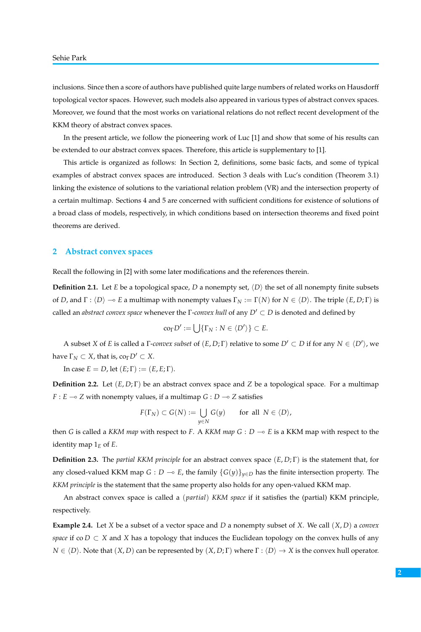inclusions. Since then a score of authors have published quite large numbers of related works on Hausdorff topological vector spaces. However, such models also appeared in various types of abstract convex spaces. Moreover, we found that the most works on variational relations do not reflect recent development of the KKM theory of abstract convex spaces.

In the present article, we follow the pioneering work of Luc [1] and show that some of his results can be extended to our abstract convex spaces. Therefore, this article is supplementary to [1].

This article is organized as follows: In Section 2, definitions, some basic facts, and some of typical examples of abstract convex spaces are introduced. Section 3 deals with Luc's condition (Theorem 3.1) linking the existence of solutions to the variational relation problem (VR) and the intersection property of a certain multimap. Sections 4 and 5 are concerned with sufficient conditions for existence of solutions of a broad class of models, respectively, in which conditions based on intersection theorems and fixed point theorems are derived.

#### **2 Abstract convex spaces**

Recall the following in [2] with some later modifications and the references therein.

**Definition 2.1.** Let *E* be a topological space, *D* a nonempty set,  $\langle D \rangle$  the set of all nonempty finite subsets of *D*, and  $\Gamma$ :  $\langle D \rangle \to E$  a multimap with nonempty values  $\Gamma_N := \Gamma(N)$  for  $N \in \langle D \rangle$ . The triple  $(E, D; \Gamma)$  is called an *abstract convex space* whenever the Γ-*convex hull* of any  $D' \subset D$  is denoted and defined by

$$
\mathrm{co}_{\Gamma}D':=\bigcup\{\Gamma_N:N\in\langle D'\rangle\}\subset E.
$$

A subset *X* of *E* is called a  $\Gamma$ *-convex subset* of  $(E, D; \Gamma)$  relative to some  $D' \subset D$  if for any  $N \in \langle D' \rangle$ , we have  $\Gamma_N \subset X$ , that is,  $\text{co}_{\Gamma} D' \subset X$ .

In case  $E = D$ , let  $(E; \Gamma) := (E, E; \Gamma)$ .

**Definition 2.2.** Let (*E*, *D*; Γ) be an abstract convex space and *Z* be a topological space. For a multimap *F* : *E*  $\rightarrow$  *Z* with nonempty values, if a multimap *G* : *D*  $\rightarrow$  *Z* satisfies

$$
F(\Gamma_N) \subset G(N) := \bigcup_{y \in N} G(y) \quad \text{for all } N \in \langle D \rangle,
$$

then *G* is called a *KKM map* with respect to *F*. A *KKM map*  $G : D \rightarrow E$  is a *KKM* map with respect to the identity map  $1_F$  of *E*.

**Definition 2.3.** The *partial KKM principle* for an abstract convex space (*E*, *D*; Γ) is the statement that, for any closed-valued KKM map *G* : *D*  $\sim$  *E*, the family  ${G(y)}_{y \in D}$  has the finite intersection property. The *KKM principle* is the statement that the same property also holds for any open-valued KKM map.

An abstract convex space is called a (*partial*) *KKM space* if it satisfies the (partial) KKM principle, respectively.

**Example 2.4.** Let *X* be a subset of a vector space and *D* a nonempty subset of *X*. We call (*X*, *D*) a *convex space* if co  $D \subset X$  and  $X$  has a topology that induces the Euclidean topology on the convex hulls of any  $N \in \langle D \rangle$ . Note that  $(X, D)$  can be represented by  $(X, D; \Gamma)$  where  $\Gamma : \langle D \rangle \to X$  is the convex hull operator.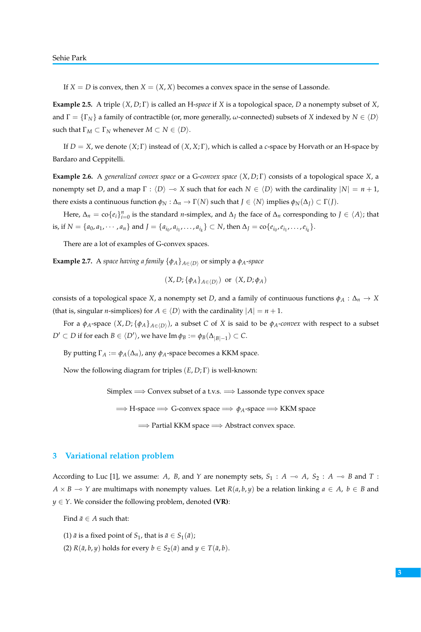If  $X = D$  is convex, then  $X = (X, X)$  becomes a convex space in the sense of Lassonde.

**Example 2.5.** A triple (*X*, *D*; Γ) is called an H-*space* if *X* is a topological space, *D* a nonempty subset of *X*, and  $\Gamma = \{\Gamma_N\}$  a family of contractible (or, more generally,  $\omega$ -connected) subsets of *X* indexed by  $N \in \langle D \rangle$ such that  $\Gamma_M \subset \Gamma_N$  whenever  $M \subset N \in \langle D \rangle$ .

If *D* = *X*, we denote (*X*; Γ) instead of (*X*, *X*; Γ), which is called a *c*-space by Horvath or an H-space by Bardaro and Ceppitelli.

**Example 2.6.** A *generalized convex space* or a G-*convex space* (*X*, *D*; Γ) consists of a topological space *X*, a nonempty set *D*, and a map  $\Gamma : \langle D \rangle \to X$  such that for each  $N \in \langle D \rangle$  with the cardinality  $|N| = n + 1$ , there exists a continuous function  $\phi_N : \Delta_n \to \Gamma(N)$  such that  $J \in \langle N \rangle$  implies  $\phi_N(\Delta_J) \subset \Gamma(J)$ .

Here,  $\Delta_n = \text{co}\{e_i\}_{i=0}^n$  is the standard *n*-simplex, and  $\Delta_j$  the face of  $\Delta_n$  corresponding to  $J \in \langle A \rangle$ ; that is, if  $N = \{a_0, a_1, \dots, a_n\}$  and  $J = \{a_{i_0}, a_{i_1}, \dots, a_{i_k}\} \subset N$ , then  $\Delta_J = \text{co}\{e_{i_0}, e_{i_1}, \dots, e_{i_k}\}.$ 

There are a lot of examples of G-convex spaces.

**Example 2.7.** A *space having a family*  $\{\phi_A\}_{A \in \langle D \rangle}$  or simply a  $\phi_A$ -*space* 

$$
(X, D; {\phi_A}_{A \in \langle D \rangle})
$$
 or  $(X, D; \phi_A)$ 

consists of a topological space *X*, a nonempty set *D*, and a family of continuous functions  $\phi_A : \Delta_n \to X$ (that is, singular *n*-simplices) for  $A \in \langle D \rangle$  with the cardinality  $|A| = n + 1$ .

For a  $\phi_A$ -space  $(X, D; \{\phi_A\}_{A\in \langle D \rangle})$ , a subset  $C$  of  $X$  is said to be  $\phi_A$ *-convex* with respect to a subset  $D' \subset D$  if for each  $B \in \langle D' \rangle$ , we have  $\text{Im } \phi_B := \phi_B(\Delta_{|B|-1}) \subset C$ .

By putting  $\Gamma_A := \phi_A(\Delta_n)$ , any  $\phi_A$ -space becomes a KKM space.

Now the following diagram for triples (*E*, *D*; Γ) is well-known:

Simplex  $\Longrightarrow$  Convex subset of a t.v.s.  $\Longrightarrow$  Lassonde type convex space

=⇒ H-space =⇒ G-convex space =⇒ *φA*-space =⇒ KKM space

=⇒ Partial KKM space =⇒ Abstract convex space.

#### **3 Variational relation problem**

According to Luc [1], we assume: *A*, *B*, and *Y* are nonempty sets,  $S_1$  :  $A \rightarrow A$ ,  $S_2$  :  $A \rightarrow B$  and *T* : *A* × *B* → *Y* are multimaps with nonempty values. Let *R*(*a*, *b*, *y*) be a relation linking *a* ∈ *A*, *b* ∈ *B* and  $y \in Y$ . We consider the following problem, denoted **(VR)**:

Find  $\bar{a} \in A$  such that:

- (1)  $\bar{a}$  is a fixed point of *S*<sub>1</sub>, that is  $\bar{a} \in S_1(\bar{a})$ ;
- (2)  $R(\bar{a}, b, y)$  holds for every  $b \in S_2(\bar{a})$  and  $y \in T(\bar{a}, b)$ .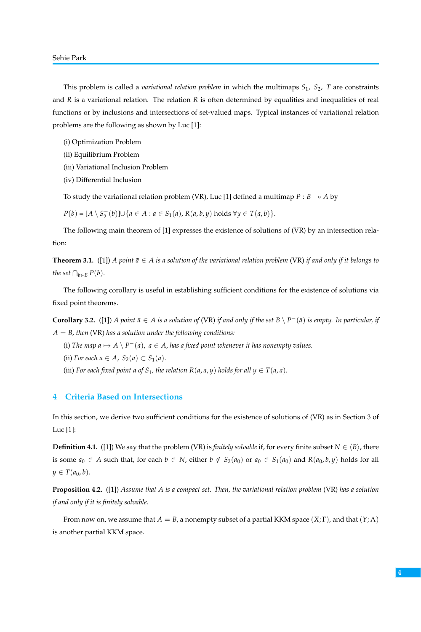This problem is called a *variational relation problem* in which the multimaps  $S_1$ ,  $S_2$ , *T* are constraints and *R* is a variational relation. The relation *R* is often determined by equalities and inequalities of real functions or by inclusions and intersections of set-valued maps. Typical instances of variational relation problems are the following as shown by Luc [1]:

- (i) Optimization Problem
- (ii) Equilibrium Problem
- (iii) Variational Inclusion Problem
- (iv) Differential Inclusion

To study the variational relation problem (VR), Luc [1] defined a multimap  $P : B \rightarrow A$  by

*P*(*b*) = [*A* \ *S*<sub>2</sub><sup>-</sup></sup>(*b*)]∪{*a* ∈ *A* : *a* ∈ *S*<sub>1</sub>(*a*), *R*(*a*, *b*, *y*) holds ∀*y* ∈ *T*(*a*, *b*)}.

The following main theorem of [1] expresses the existence of solutions of (VR) by an intersection relation:

**Theorem 3.1.** ([1]) *A point*  $\bar{a} \in A$  *is a solution of the variational relation problem* (VR) *if and only if it belongs to the set*  $\bigcap_{b \in B} P(b)$ *.* 

The following corollary is useful in establishing sufficient conditions for the existence of solutions via fixed point theorems.

**Corollary 3.2.** ([1]) *A point*  $\bar{a}$  ∈ *A is a solution of* (VR) *if and only if the set*  $B \setminus P^-(\bar{a})$  *is empty. In particular, if A* = *B, then* (VR) *has a solution under the following conditions:*

(i) *The map a*  $\mapsto$  *A*  $\setminus$  *P*<sup> $-$ </sup>(*a*), *a*  $\in$  *A*, *has a fixed point whenever it has nonempty values.* 

(ii) *For each*  $a \in A$ ,  $S_2(a) \subset S_1(a)$ .

(iii) *For each fixed point a of*  $S_1$ *, the relation*  $R(a, a, y)$  *holds for all*  $y \in T(a, a)$ *.* 

#### **4 Criteria Based on Intersections**

In this section, we derive two sufficient conditions for the existence of solutions of (VR) as in Section 3 of Luc [1]:

**Definition 4.1.** ([1]) We say that the problem (VR) is *finitely solvable* if, for every finite subset  $N \in \langle B \rangle$ , there is some  $a_0 \in A$  such that, for each  $b \in N$ , either  $b \notin S_2(a_0)$  or  $a_0 \in S_1(a_0)$  and  $R(a_0, b, y)$  holds for all  $y \in T(a_0, b)$ .

**Proposition 4.2.** ([1]) *Assume that A is a compact set. Then, the variational relation problem* (VR) *has a solution if and only if it is finitely solvable.*

From now on, we assume that  $A = B$ , a nonempty subset of a partial KKM space  $(X; \Gamma)$ , and that  $(Y; \Lambda)$ is another partial KKM space.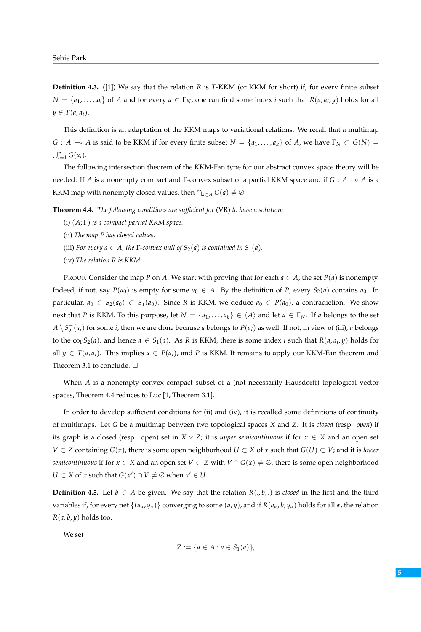**Definition 4.3.** ([1]) We say that the relation *R* is *T*-KKM (or KKM for short) if, for every finite subset  $N = \{a_1, \ldots, a_k\}$  of *A* and for every  $a \in \Gamma_N$ , one can find some index *i* such that  $R(a, a_i, y)$  holds for all  $y \in T(a, a_i)$ .

This definition is an adaptation of the KKM maps to variational relations. We recall that a multimap *G* : *A*  $\multimap$  *A* is said to be KKM if for every finite subset  $N = \{a_1, \ldots, a_k\}$  of *A*, we have  $\Gamma_N \subset G(N)$  =  $\bigcup_{i=1}^n G(a_i).$ 

The following intersection theorem of the KKM-Fan type for our abstract convex space theory will be needed: If *A* is a nonempty compact and Γ-convex subset of a partial KKM space and if *G* : *A*  $\rightarrow$  *A* is a KKM map with nonempty closed values, then  $\bigcap_{a \in A} G(a) \neq \emptyset$ .

**Theorem 4.4.** *The following conditions are sufficient for* (VR) *to have a solution:*

- (i) (*A*; Γ) *is a compact partial KKM space.*
- (ii) *The map P has closed values.*
- (iii) *For every a*  $\in$  *A*, the *Γ*-convex hull of  $S_2(a)$  is contained in  $S_1(a)$ .
- (iv) *The relation R is KKM.*

PROOF. Consider the map *P* on *A*. We start with proving that for each  $a \in A$ , the set  $P(a)$  is nonempty. Indeed, if not, say  $P(a_0)$  is empty for some  $a_0 \in A$ . By the definition of P, every  $S_2(a)$  contains  $a_0$ . In particular,  $a_0 \in S_2(a_0) \subset S_1(a_0)$ . Since *R* is KKM, we deduce  $a_0 \in P(a_0)$ , a contradiction. We show next that *P* is KKM. To this purpose, let  $N = \{a_1, \ldots, a_k\} \in \langle A \rangle$  and let  $a \in \Gamma_N$ . If *a* belongs to the set  $A \setminus S_2^-(a_i)$  for some *i*, then we are done because *a* belongs to  $P(a_i)$  as well. If not, in view of (iii), *a* belongs to the co<sub>Γ</sub>S<sub>2</sub>(*a*), and hence  $a \in S_1(a)$ . As *R* is KKM, there is some index *i* such that  $R(a, a_i, y)$  holds for all  $y \in T(a, a_i)$ . This implies  $a \in P(a_i)$ , and P is KKM. It remains to apply our KKM-Fan theorem and Theorem 3.1 to conclude.  $\square$ 

When *A* is a nonempty convex compact subset of a (not necessarily Hausdorff) topological vector spaces, Theorem 4.4 reduces to Luc [1, Theorem 3.1].

In order to develop sufficient conditions for (ii) and (iv), it is recalled some definitions of continuity of multimaps. Let *G* be a multimap between two topological spaces *X* and *Z*. It is *closed* (resp. *open*) if its graph is a closed (resp. open) set in  $X \times Z$ ; it is *upper semicontinuous* if for  $x \in X$  and an open set *V* ⊂ *Z* containing *G*(*x*), there is some open neighborhood *U* ⊂ *X* of *x* such that *G*(*U*) ⊂ *V*; and it is *lower semicontinuous* if for  $x \in X$  and an open set  $V \subset Z$  with  $V \cap G(x) \neq \emptyset$ , there is some open neighborhood *U* ⊂ *X* of *x* such that  $G(x')$  ∩  $V \neq \emptyset$  when  $x' \in U$ .

**Definition 4.5.** Let  $b \in A$  be given. We say that the relation  $R(., b, .)$  is *closed* in the first and the third variables if, for every net  $\{(a_\alpha, y_\alpha)\}$  converging to some  $(a, y)$ , and if  $R(a_\alpha, b, y_\alpha)$  holds for all  $\alpha$ , the relation  $R(a, b, y)$  holds too.

We set

$$
Z := \{ a \in A : a \in S_1(a) \},\
$$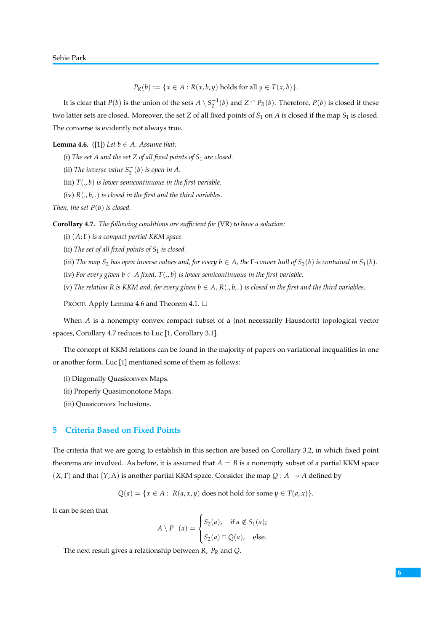*P*<sub>*R*</sub>(*b*) := {*x* ∈ *A* : *R*(*x*, *b*, *y*) holds for all *y* ∈ *T*(*x*, *b*)}.

It is clear that  $P(b)$  is the union of the sets  $A \setminus S_2^{-1}(b)$  and  $Z \cap P_R(b)$ . Therefore,  $P(b)$  is closed if these two latter sets are closed. Moreover, the set *Z* of all fixed points of *S*<sup>1</sup> on *A* is closed if the map *S*<sup>1</sup> is closed. The converse is evidently not always true.

**Lemma 4.6.** ([1]) *Let b*  $\in$  *A. Assume that:* 

(i) *The set A and the set Z of all fixed points of S*<sup>1</sup> *are closed.*

(ii) *The inverse value*  $S_2^-(b)$  *is open in A.* 

(iii) *T*(., *b*) *is lower semicontinuous in the first variable.*

(iv) *R*(., *b*, .) *is closed in the first and the third variables.*

*Then, the set P*(*b*) *is closed.*

**Corollary 4.7.** *The following conditions are sufficient for* (VR) *to have a solution:*

(i) (*A*; Γ) *is a compact partial KKM space.*

(ii) *The set of all fixed points of S*<sup>1</sup> *is closed.*

- (iii) *The map*  $S_2$  *has open inverse values and, for every*  $b \in A$ *, the*  $\Gamma$ *-convex hull of*  $S_2(b)$  *is contained in*  $S_1(b)$ *.*
- (iv) *For every given*  $b \in A$  *fixed,*  $T(., b)$  *is lower semicontinuous in the first variable.*
- (v) The relation R is KKM and, for every given  $b \in A$ ,  $R(., b, .)$  is closed in the first and the third variables.

PROOF. Apply Lemma 4.6 and Theorem 4.1.  $\Box$ 

When *A* is a nonempty convex compact subset of a (not necessarily Hausdorff) topological vector spaces, Corollary 4.7 reduces to Luc [1, Corollary 3.1].

The concept of KKM relations can be found in the majority of papers on variational inequalities in one or another form. Luc [1] mentioned some of them as follows:

- (i) Diagonally Quasiconvex Maps.
- (ii) Properly Quasimonotone Maps.
- (iii) Quasiconvex Inclusions.

#### **5 Criteria Based on Fixed Points**

The criteria that we are going to establish in this section are based on Corollary 3.2, in which fixed point theorems are involved. As before, it is assumed that  $A = B$  is a nonempty subset of a partial KKM space  $(X; \Gamma)$  and that  $(Y; \Lambda)$  is another partial KKM space. Consider the map  $Q : A \rightarrow A$  defined by

 $Q(a) = \{x \in A : R(a, x, y) \text{ does not hold for some } y \in T(a, x)\}.$ 

It can be seen that

$$
A \setminus P^-(a) = \begin{cases} S_2(a), & \text{if } a \notin S_1(a); \\ S_2(a) \cap Q(a), & \text{else.} \end{cases}
$$

The next result gives a relationship between *R*, *P<sup>R</sup>* and *Q*.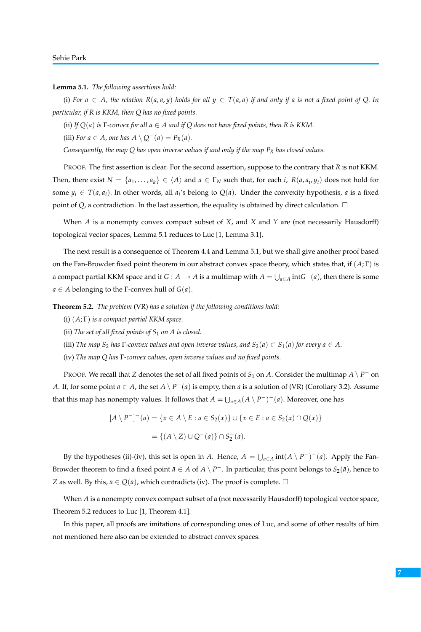**Lemma 5.1.** *The following assertions hold:*

(i) For  $a \in A$ , the relation  $R(a, a, y)$  holds for all  $y \in T(a, a)$  if and only if a is not a fixed point of Q. In *particular, if R is KKM, then Q has no fixed points.*

(ii) *If*  $Q(a)$  *is*  $\Gamma$ *-convex for all*  $a \in A$  *and if*  $Q$  *does not have fixed points, then*  $R$  *is*  $KKM$ .

(iii) *For*  $a \in A$ *, one has*  $A \setminus Q^-(a) = P_R(a)$ *.* 

*Consequently, the map Q has open inverse values if and only if the map P<sup>R</sup> has closed values.*

PROOF. The first assertion is clear. For the second assertion, suppose to the contrary that *R* is not KKM. Then, there exist  $N = \{a_1, \ldots, a_k\} \in \langle A \rangle$  and  $a \in \Gamma_N$  such that, for each *i*,  $R(a, a_i, y_i)$  does not hold for some  $y_i \in T(a, a_i)$ . In other words, all  $a_i$ 's belong to  $Q(a)$ . Under the convexity hypothesis, *a* is a fixed point of  $Q$ , a contradiction. In the last assertion, the equality is obtained by direct calculation.  $\Box$ 

When *A* is a nonempty convex compact subset of *X*, and *X* and *Y* are (not necessarily Hausdorff) topological vector spaces, Lemma 5.1 reduces to Luc [1, Lemma 3.1].

The next result is a consequence of Theorem 4.4 and Lemma 5.1, but we shall give another proof based on the Fan-Browder fixed point theorem in our abstract convex space theory, which states that, if (*A*; Γ) is a compact partial KKM space and if  $G : A \to A$  is a multimap with  $A = \bigcup_{a \in A} intG^-(a)$ , then there is some  $a \in A$  belonging to the  $\Gamma$ -convex hull of  $G(a)$ .

**Theorem 5.2.** *The problem* (VR) *has a solution if the following conditions hold:*

- (i) (*A*; Γ) *is a compact partial KKM space.*
- (ii) *The set of all fixed points of S*<sup>1</sup> *on A is closed.*
- (iii) *The map*  $S_2$  *has*  $\Gamma$ *-convex values and open inverse values, and*  $S_2(a) \subset S_1(a)$  *for every*  $a \in A$ .
- (iv) *The map Q has* Γ*-convex values, open inverse values and no fixed points.*

PROOF. We recall that *Z* denotes the set of all fixed points of  $S_1$  on *A*. Consider the multimap  $A \setminus P^-$  on *A*. If, for some point  $a \in A$ , the set  $A \setminus P^-(a)$  is empty, then *a* is a solution of (VR) (Corollary 3.2). Assume that this map has nonempty values. It follows that  $A = \bigcup_{a \in A} (A \setminus P^-)^-(a)$ . Moreover, one has

$$
[A \setminus P^-]^- (a) = \{x \in A \setminus E : a \in S_2(x)\} \cup \{x \in E : a \in S_2(x) \cap Q(x)\}
$$
  
= \{(A \setminus Z) \cup Q^-(a)\} \cap S\_2^-(a).

By the hypotheses (ii)-(iv), this set is open in *A*. Hence,  $A = \bigcup_{a \in A} \text{int}(A \setminus P^-)^-(a)$ . Apply the Fan-Browder theorem to find a fixed point  $\bar{a} \in A$  of  $A \setminus P^-$ . In particular, this point belongs to  $S_2(\bar{a})$ , hence to *Z* as well. By this,  $\bar{a} \in Q(\bar{a})$ , which contradicts (iv). The proof is complete.  $\Box$ 

When *A* is a nonempty convex compact subset of a (not necessarily Hausdorff) topological vector space, Theorem 5.2 reduces to Luc [1, Theorem 4.1].

In this paper, all proofs are imitations of corresponding ones of Luc, and some of other results of him not mentioned here also can be extended to abstract convex spaces.